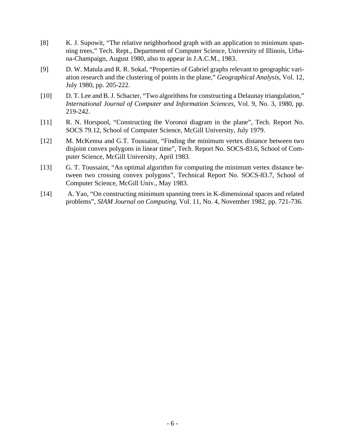- [8] K. J. Supowit, "The relative neighborhood graph with an application to minimum spanning trees," Tech. Rept., Department of Computer Science, University of Illinois, Urbana-Champaign, August 1980, also to appear in J.A.C.M., 1983.
- [9] D. W. Matula and R. R. Sokal, "Properties of Gabriel graphs relevant to geographic variation research and the clustering of points in the plane," *Geographical Analysis*, Vol. 12, July 1980, pp. 205-222.
- [10] D. T. Lee and B. J. Schacter, "Two algorithms for constructing a Delaunay triangulation," *International Journal of Computer and Information Sciences*, Vol. 9, No. 3, 1980, pp. 219-242.
- [11] R. N. Horspool, "Constructing the Voronoi diagram in the plane", Tech. Report No. SOCS 79.12, School of Computer Science, McGill University, July 1979.
- [12] M. McKenna and G.T. Toussaint, "Finding the minimum vertex distance between two disjoint convex polygons in linear time", Tech. Report No. SOCS-83.6, School of Computer Science, McGill University, April 1983.
- [13] G. T. Toussaint, "An optimal algorithm for computing the minimum vertex distance between two crossing convex polygons", Technical Report No. SOCS-83.7, School of Computer Science, McGill Univ., May 1983.
- [14] A. Yao, "On constructing minimum spanning trees in K-dimensional spaces and related problems", *SIAM Journal on Computing*, Vol. 11, No. 4, November 1982, pp. 721-736.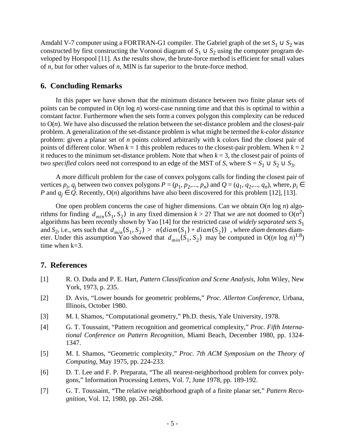Amdahl V-7 computer using a FORTRAN-G1 compiler. The Gabriel graph of the set  $S_1 \cup S_2$  was constructed by first constructing the Voronoi diagram of  $S_1 \cup S_2$  using the computer program developed by Horspool [11]. As the results show, the brute-force method is efficient for small values of *n*, but for other values of *n*, MIN is far superior to the brute-force method.

## **6. Concluding Remarks**

In this paper we have shown that the minimum distance between two finite planar sets of points can be computed in O(*n* log *n*) worst-case running time and that this is optimal to within a constant factor. Furthermore when the sets form a convex polygon this complexity can be reduced to  $O(n)$ . We have also discussed the relation between the set-distance problem and the closest-pair problem. A generalization of the set-distance problem is what might be termed the *k-color distance* problem: given a planar set of *n* points colored arbitrarily with k colors find the closest pair of points of different color. When  $k = 1$  this problem reduces to the closest-pair problem. When  $k = 2$ it reduces to the minimum set-distance problem. Note that when  $k = 3$ , the closest pair of points of two *specified* colors need not correspond to an edge of the MST of *S*, where  $S = S_1 \cup S_2 \cup S_3$ .

A more difficult problem for the case of convex polygons calls for finding the closest pair of vertices  $p_i$ ,  $q_j$  between two convex polygons  $P = (p_1, p_2,..., p_n)$  and  $Q = (q_1, q_2,..., q_n)$ , where,  $p_i \in$ *P* and  $q_j \in \mathcal{Q}$ . Recently, O(*n*) algorithms have also been discovered for this problem [12], [13].

One open problem concerns the case of higher dimensions. Can we obtain O(*n* log *n*) algorithms for finding  $d_{min}(S_1, S_2)$  in any fixed dimension  $k > 2$ ? That we are not doomed to  $O(n^2)$ algorithms has been recently shown by Yao [14] for the restricted case of *widely separated sets S*<sup>1</sup> and *S*<sub>2</sub>, i.e., sets such that  $d_{min}(S_1, S_2) > n(diam(S_1) + diam(S_2))$ , where *diam* denotes diameter. Under this assumption Yao showed that  $d_{min}(S_1, S_2)$  may be computed in O((*n* log *n*)<sup>1.8</sup>) time when k=3.

### **7. References**

- [1] R. O. Duda and P. E. Hart, *Pattern Classification and Scene Analysis*, John Wiley, New York, 1973, p. 235.
- [2] D. Avis, "Lower bounds for geometric problems," *Proc. Allerton Conference*, Urbana, Illinois, October 1980.
- [3] M. I. Shamos, "Computational geometry," Ph.D. thesis, Yale University, 1978.
- [4] G. T. Toussaint, "Pattern recognition and geometrical complexity," *Proc. Fifth International Conference on Pattern Recognition*, Miami Beach, December 1980, pp. 1324- 1347.
- [5] M. I. Shamos, "Geometric complexity," *Proc. 7th ACM Symposium on the Theory of Computing*, May 1975, pp. 224-233.
- [6] D. T. Lee and F. P. Preparata, "The all nearest-neighborhood problem for convex polygons," Information Processing Letters, Vol. 7, June 1978, pp. 189-192.
- [7] G. T. Toussaint, "The relative neighborhood graph of a finite planar set," *Pattern Recognition*, Vol. 12, 1980, pp. 261-268.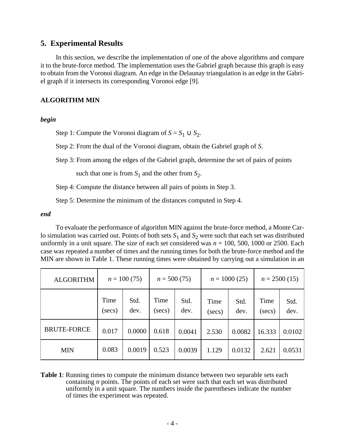## **5. Experimental Results**

In this section, we describe the implementation of one of the above algorithms and compare it to the brute-force method. The implementation uses the Gabriel graph because this graph is easy to obtain from the Voronoi diagram. An edge in the Delaunay triangulation is an edge in the Gabriel graph if it intersects its corresponding Voronoi edge [9].

### **ALGORITHM MIN**

### *begin*

Step 1: Compute the Voronoi diagram of  $S = S_1 \cup S_2$ .

Step 2: From the dual of the Voronoi diagram, obtain the Gabriel graph of *S*.

Step 3: From among the edges of the Gabriel graph, determine the set of pairs of points

such that one is from  $S_1$  and the other from  $S_2$ .

Step 4: Compute the distance between all pairs of points in Step 3.

Step 5: Determine the minimum of the distances computed in Step 4.

### *end*

To evaluate the performance of algorithm MIN against the brute-force method, a Monte Carlo simulation was carried out. Points of both sets  $S_1$  and  $S_2$  were such that each set was distributed uniformly in a unit square. The size of each set considered was  $n = 100$ , 500, 1000 or 2500. Each case was repeated a number of times and the running times for both the brute-force method and the MIN are shown in Table 1. These running times were obtained by carrying out a simulation in an

| <b>ALGORITHM</b>   | $n = 100(75)$      |              | $n = 500(75)$      |              | $n = 1000(25)$     |              | $n = 2500(15)$     |              |
|--------------------|--------------------|--------------|--------------------|--------------|--------------------|--------------|--------------------|--------------|
|                    | Time<br>$(\sec s)$ | Std.<br>dev. | Time<br>$(\sec s)$ | Std.<br>dev. | Time<br>$(\sec s)$ | Std.<br>dev. | Time<br>$(\sec s)$ | Std.<br>dev. |
| <b>BRUTE-FORCE</b> | 0.017              | 0.0000       | 0.618              | 0.0041       | 2.530              | 0.0082       | 16.333             | 0.0102       |
| <b>MIN</b>         | 0.083              | 0.0019       | 0.523              | 0.0039       | 1.129              | 0.0132       | 2.621              | 0.0531       |

**Table 1**: Running times to compute the minimum distance between two separable sets each containing *n* points. The points of each set were such that each set was distributed uniformly in a unit square. The numbers inside the parentheses indicate the number of times the experiment was repeated.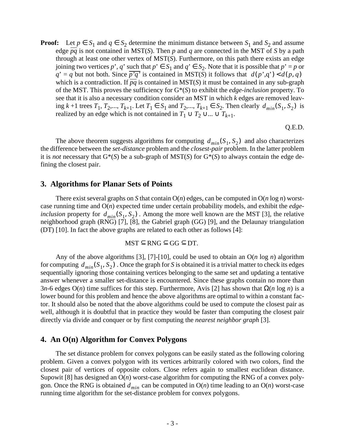**Proof:** Let  $p \in S_1$  and  $q \in S_2$  determine the minimum distance between  $S_1$  and  $S_2$  and assume edge  $\overline{pq}$  is not contained in MST(*S*). Then *p* and *q* are connected in the MST of *S* by a path through at least one other vertex of MST(*S*). Furthermore, on this path there exists an edge joining two vertices *p*', *q*' such that  $p' \in S_1$  and  $q' \in S_2$ . Note that it is possible that  $p' = p$  or  $q' = q$  but not both. Since  $\overline{p'q'}$  is contained in MST(*S*) it follows that  $d(p', q') < d(p, q)$ which is a contradiction. If *pq* is contained in MST(*S*) it must be contained in any sub-graph of the MST. This proves the sufficiency for G\*(*S*) to exhibit the *edge-inclusion* property. To see that it is also a necessary condition consider an MST in which *k* edges are removed leaving *k* +1 trees  $T_1, T_2, ..., T_{k+1}$ . Let  $T_1$  ∈  $S_1$  and  $T_2, ..., T_{k+1}$  ∈  $S_2$ . Then clearly  $d_{min}(S_1, S_2)$  is realized by an edge which is not contained in  $T_1 \cup T_2 \cup ... \cup T_{k+1}$ .

Q.E.D.

The above theorem suggests algorithms for computing  $d_{min}(S_1, S_2)$  and also characterizes the difference between the *set-distance* problem and the *closest-pair* problem. In the latter problem it is *not* necessary that  $G^*(S)$  be a sub-graph of MST(S) for  $G^*(S)$  to always contain the edge defining the closest pair.

### **3. Algorithms for Planar Sets of Points**

There exist several graphs on *S* that contain  $O(n)$  edges, can be computed in  $O(n \log n)$  worstcase running time and O(*n*) expected time under certain probability models, and exhibit the *edgeinclusion* property for  $d_{min}(S_1, S_2)$ . Among the more well known are the MST [3], the relative neighborhood graph (RNG) [7], [8], the Gabriel graph (GG) [9], and the Delaunay triangulation (DT) [10]. In fact the above graphs are related to each other as follows [4]:

$$
MST \subseteq RNG \subseteq GG \subseteq DT.
$$

Any of the above algorithms [3], [7]-[10], could be used to obtain an O(*n* log *n*) algorithm for computing  $d_{min}(S_1, S_2)$ . Once the graph for *S* is obtained it is a trivial matter to check its edges sequentially ignoring those containing vertices belonging to the same set and updating a tentative answer whenever a smaller set-distance is encountered. Since these graphs contain no more than 3*n*-6 edges O(*n*) time suffices for this step. Furthermore, Avis [2] has shown that Ω(*n* log *n*) is a lower bound for this problem and hence the above algorithms are optimal to within a constant factor. It should also be noted that the above algorithms could be used to compute the closest pair as well, although it is doubtful that in practice they would be faster than computing the closest pair directly via divide and conquer or by first computing the *nearest neighbor graph* [3].

### **4. An O(n) Algorithm for Convex Polygons**

The set distance problem for convex polygons can be easily stated as the following coloring problem. Given a convex polygon with its vertices arbitrarily colored with two colors, find the closest pair of vertices of opposite colors. Close refers again to smallest euclidean distance. Supowit [8] has designed an O(*n*) worst-case algorithm for computing the RNG of a convex polygon. Once the RNG is obtained  $d_{min}$  can be computed in  $O(n)$  time leading to an  $O(n)$  worst-case running time algorithm for the set-distance problem for convex polygons.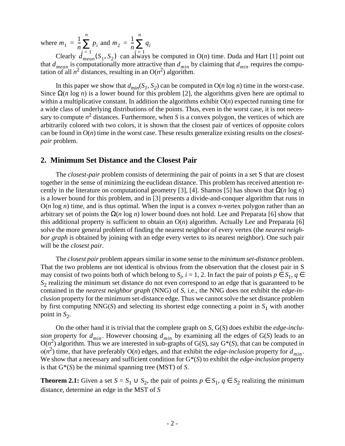where  $m_1 = \frac{1}{n} \sum_{i=1}^{n} p_i$  and  $\frac{1}{n}\sum p_i$ *n*  $=\frac{1}{n}\sum_{i=1}^{n} p_i$  and  $m_2 = \frac{1}{n}$  $\frac{1}{n}\sum q_i$ *n*  $=\frac{1}{n}\sum$ 

Clearly  $d_{mean}^{-1}(S_1, S_2)$  can always be computed in O(*n*) time. Duda and Hart [1] point out that  $d_{mean}$  is computationally more attractive than  $d_{min}$  by claiming that  $d_{min}$  requires the computation of all  $n^2$  distances, resulting in an  $O(n^2)$  algorithm.  $\dot{d} = \frac{1}{m} (S_1, S_2)$  can alwa  $d_{mean}$  is computationally more attractive than  $d_{min}$  by claiming that  $d_{min}$ 

In this paper we show that  $d_{min}(S_1, S_2)$  can be computed in  $O(n \log n)$  time in the worst-case. Since  $\Omega(n \log n)$  is a lower bound for this problem [2], the algorithms given here are optimal to within a multiplicative constant. In addition the algorithms exhibit  $O(n)$  expected running time for a wide class of underlying distributions of the points. Thus, even in the worst case, it is not necessary to compute  $n^2$  distances. Furthermore, when *S* is a convex polygon, the vertices of which are arbitrarily colored with two colors, it is shown that the closest pair of vertices of opposite colors can be found in O(*n*) time in the worst case. These results generalize existing results on the *closestpair* problem.

### **2. Minimum Set Distance and the Closest Pair**

The *closest-pair* problem consists of determining the pair of points in a set S that are closest together in the sense of minimizing the euclidean distance. This problem has received attention recently in the literature on computational geometry [3], [4]. Shamos [5] has shown that Ω(*n* log *n*) is a lower bound for this problem, and in [3] presents a divide-and-conquer algorithm that runs in  $O(n \log n)$  time, and is thus optimal. When the input is a convex *n*-vertex polygon rather than an arbitrary set of points the Ω(*n* log *n*) lower bound does not hold. Lee and Preparata [6] show that this additional property is sufficient to obtain an O(*n*) algorithm. Actually Lee and Preparata [6] solve the more general problem of finding the nearest neighbor of every vertex (the *nearest neighbor graph* is obtained by joining with an edge every vertex to its nearest neighbor). One such pair will be the *closest pair*.

The *closest pair* problem appears similar in some sense to the *minimum set-distance* problem. That the two problems are not identical is obvious from the observation that the closest pair in S may consist of two points both of which belong to  $S_i$ ,  $i = 1, 2$ . In fact the pair of points  $p \in S_1$ ,  $q \in$ *S*2 realizing the minimum set distance do not even correspond to an edge that is guaranteed to be contained in the *nearest neighbor graph* (NNG) of *S*, i.e., the NNG does not exhibit the *edge-inclusion* property for the minimum set-distance edge. Thus we cannot solve the set distance problem by first computing NNG(*S*) and selecting its shortest edge connecting a point in  $S_1$  with another point in  $S_2$ .

On the other hand it is trivial that the complete graph on *S*, G(*S*) does exhibit the *edge-inclusion*<sub>,</sub> property for  $d_{min}$ . However choosing  $d_{min}$  by examining all the edges of G(*S*) leads to an  $O(n^2)$  algorithm. Thus we are interested in sub-graphs of G(*S*), say G<sup>\*</sup>(*S*), that can be computed in  $o(n^2)$  time, that have preferably  $O(n)$  edges, and that exhibit the *edge-inclusion* property for  $d_{min}$ . We show that a necessary and sufficient condition for G\*(*S*) to exhibit the *edge-inclusion* property is that G\*(*S*) be the minimal spanning tree (MST) of *S*.

**Theorem 2.1:** Given a set  $S = S_1 \cup S_2$ , the pair of points  $p \in S_1$ ,  $q \in S_2$  realizing the minimum distance, determine an edge in the MST of *S*